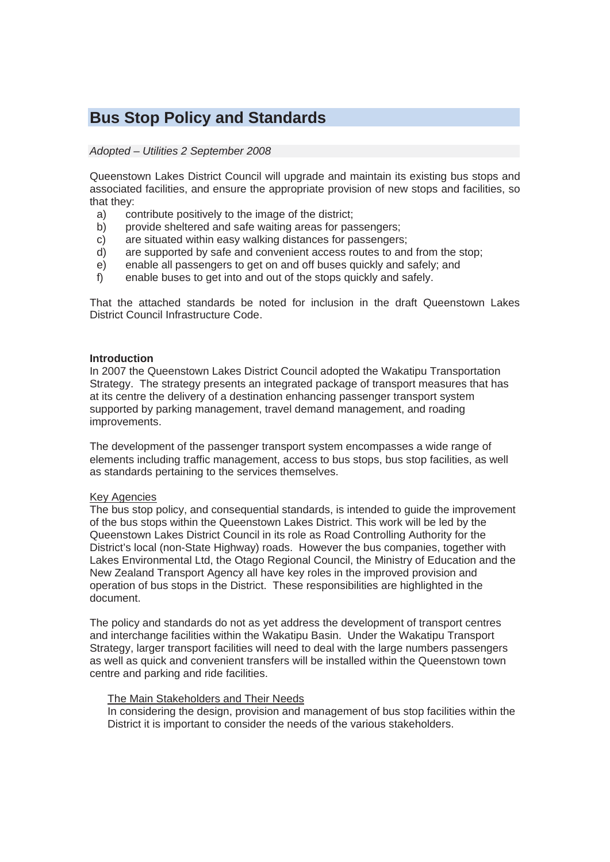# **Bus Stop Policy and Standards**

## *Adopted – Utilities 2 September 2008*

Queenstown Lakes District Council will upgrade and maintain its existing bus stops and associated facilities, and ensure the appropriate provision of new stops and facilities, so that they:

- a) contribute positively to the image of the district;
- b) provide sheltered and safe waiting areas for passengers;
- c) are situated within easy walking distances for passengers;
- d) are supported by safe and convenient access routes to and from the stop;
- e) enable all passengers to get on and off buses quickly and safely; and
- f) enable buses to get into and out of the stops quickly and safely.

That the attached standards be noted for inclusion in the draft Queenstown Lakes District Council Infrastructure Code.

#### **Introduction**

In 2007 the Queenstown Lakes District Council adopted the Wakatipu Transportation Strategy. The strategy presents an integrated package of transport measures that has at its centre the delivery of a destination enhancing passenger transport system supported by parking management, travel demand management, and roading improvements.

The development of the passenger transport system encompasses a wide range of elements including traffic management, access to bus stops, bus stop facilities, as well as standards pertaining to the services themselves.

#### Key Agencies

The bus stop policy, and consequential standards, is intended to guide the improvement of the bus stops within the Queenstown Lakes District. This work will be led by the Queenstown Lakes District Council in its role as Road Controlling Authority for the District's local (non-State Highway) roads. However the bus companies, together with Lakes Environmental Ltd, the Otago Regional Council, the Ministry of Education and the New Zealand Transport Agency all have key roles in the improved provision and operation of bus stops in the District. These responsibilities are highlighted in the document.

The policy and standards do not as yet address the development of transport centres and interchange facilities within the Wakatipu Basin. Under the Wakatipu Transport Strategy, larger transport facilities will need to deal with the large numbers passengers as well as quick and convenient transfers will be installed within the Queenstown town centre and parking and ride facilities.

#### The Main Stakeholders and Their Needs

In considering the design, provision and management of bus stop facilities within the District it is important to consider the needs of the various stakeholders.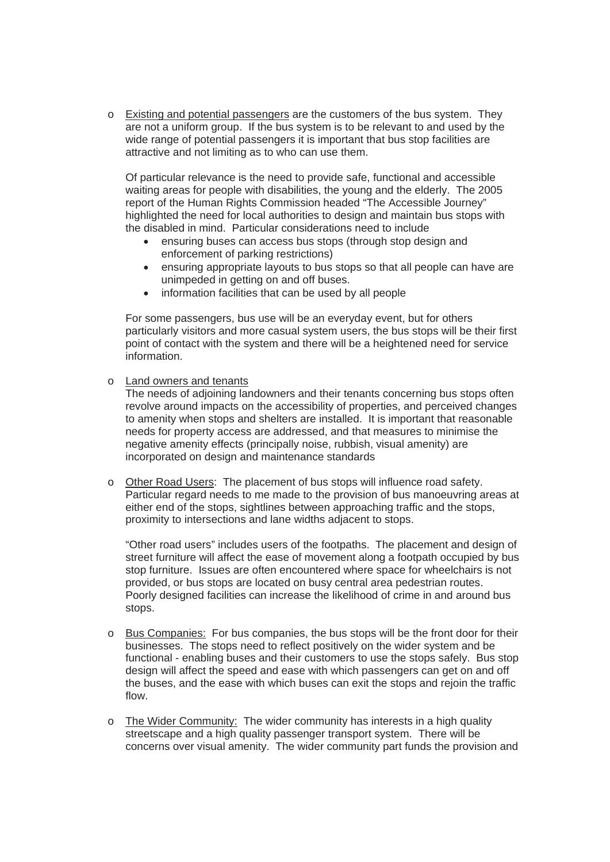o Existing and potential passengers are the customers of the bus system. They are not a uniform group. If the bus system is to be relevant to and used by the wide range of potential passengers it is important that bus stop facilities are attractive and not limiting as to who can use them.

Of particular relevance is the need to provide safe, functional and accessible waiting areas for people with disabilities, the young and the elderly. The 2005 report of the Human Rights Commission headed "The Accessible Journey" highlighted the need for local authorities to design and maintain bus stops with the disabled in mind. Particular considerations need to include

- ensuring buses can access bus stops (through stop design and enforcement of parking restrictions)
- ensuring appropriate layouts to bus stops so that all people can have are unimpeded in getting on and off buses.
- information facilities that can be used by all people

For some passengers, bus use will be an everyday event, but for others particularly visitors and more casual system users, the bus stops will be their first point of contact with the system and there will be a heightened need for service information.

o Land owners and tenants

The needs of adjoining landowners and their tenants concerning bus stops often revolve around impacts on the accessibility of properties, and perceived changes to amenity when stops and shelters are installed. It is important that reasonable needs for property access are addressed, and that measures to minimise the negative amenity effects (principally noise, rubbish, visual amenity) are incorporated on design and maintenance standards

o Other Road Users: The placement of bus stops will influence road safety. Particular regard needs to me made to the provision of bus manoeuvring areas at either end of the stops, sightlines between approaching traffic and the stops, proximity to intersections and lane widths adjacent to stops.

"Other road users" includes users of the footpaths. The placement and design of street furniture will affect the ease of movement along a footpath occupied by bus stop furniture. Issues are often encountered where space for wheelchairs is not provided, or bus stops are located on busy central area pedestrian routes. Poorly designed facilities can increase the likelihood of crime in and around bus stops.

- o Bus Companies: For bus companies, the bus stops will be the front door for their businesses. The stops need to reflect positively on the wider system and be functional - enabling buses and their customers to use the stops safely. Bus stop design will affect the speed and ease with which passengers can get on and off the buses, and the ease with which buses can exit the stops and rejoin the traffic flow.
- $\circ$  The Wider Community: The wider community has interests in a high quality streetscape and a high quality passenger transport system. There will be concerns over visual amenity. The wider community part funds the provision and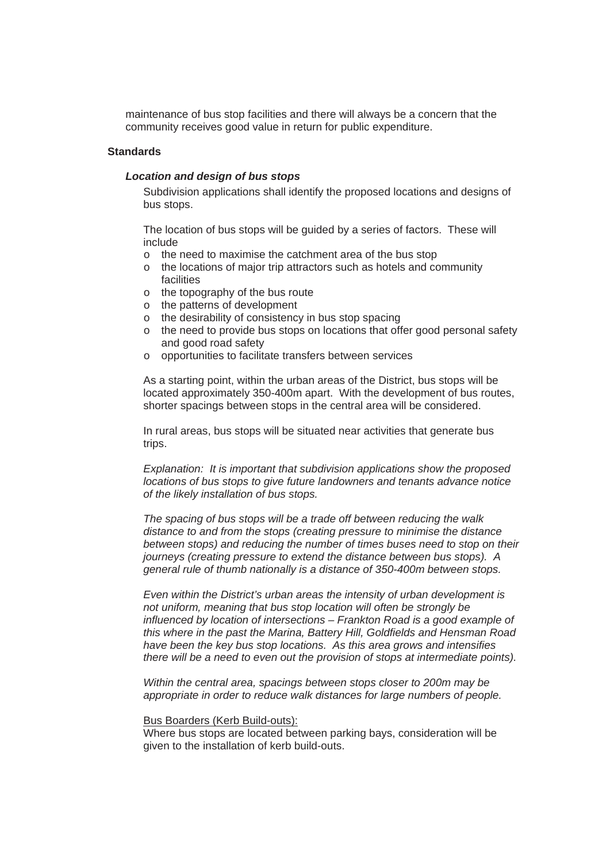maintenance of bus stop facilities and there will always be a concern that the community receives good value in return for public expenditure.

## **Standards**

# *Location and design of bus stops*

Subdivision applications shall identify the proposed locations and designs of bus stops.

The location of bus stops will be guided by a series of factors. These will include

- o the need to maximise the catchment area of the bus stop
- o the locations of major trip attractors such as hotels and community facilities
- o the topography of the bus route
- o the patterns of development
- o the desirability of consistency in bus stop spacing
- o the need to provide bus stops on locations that offer good personal safety and good road safety
- o opportunities to facilitate transfers between services

As a starting point, within the urban areas of the District, bus stops will be located approximately 350-400m apart. With the development of bus routes, shorter spacings between stops in the central area will be considered.

In rural areas, bus stops will be situated near activities that generate bus trips.

*Explanation: It is important that subdivision applications show the proposed locations of bus stops to give future landowners and tenants advance notice of the likely installation of bus stops.* 

*The spacing of bus stops will be a trade off between reducing the walk distance to and from the stops (creating pressure to minimise the distance between stops) and reducing the number of times buses need to stop on their journeys (creating pressure to extend the distance between bus stops). A general rule of thumb nationally is a distance of 350-400m between stops.* 

*Even within the District's urban areas the intensity of urban development is not uniform, meaning that bus stop location will often be strongly be influenced by location of intersections – Frankton Road is a good example of this where in the past the Marina, Battery Hill, Goldfields and Hensman Road have been the key bus stop locations. As this area grows and intensifies there will be a need to even out the provision of stops at intermediate points).* 

*Within the central area, spacings between stops closer to 200m may be appropriate in order to reduce walk distances for large numbers of people.* 

#### Bus Boarders (Kerb Build-outs):

Where bus stops are located between parking bays, consideration will be given to the installation of kerb build-outs.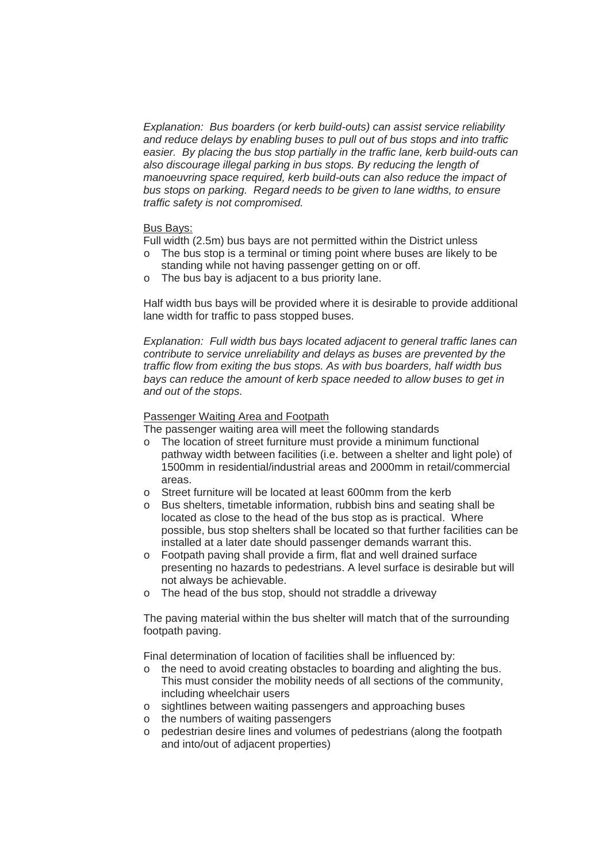*Explanation: Bus boarders (or kerb build-outs) can assist service reliability and reduce delays by enabling buses to pull out of bus stops and into traffic easier. By placing the bus stop partially in the traffic lane, kerb build-outs can also discourage illegal parking in bus stops. By reducing the length of manoeuvring space required, kerb build-outs can also reduce the impact of bus stops on parking. Regard needs to be given to lane widths, to ensure traffic safety is not compromised.* 

#### Bus Bays:

Full width (2.5m) bus bays are not permitted within the District unless

- o The bus stop is a terminal or timing point where buses are likely to be standing while not having passenger getting on or off.
- o The bus bay is adjacent to a bus priority lane.

Half width bus bays will be provided where it is desirable to provide additional lane width for traffic to pass stopped buses.

*Explanation: Full width bus bays located adjacent to general traffic lanes can contribute to service unreliability and delays as buses are prevented by the traffic flow from exiting the bus stops. As with bus boarders, half width bus bays can reduce the amount of kerb space needed to allow buses to get in and out of the stops.* 

## Passenger Waiting Area and Footpath

The passenger waiting area will meet the following standards

- o The location of street furniture must provide a minimum functional pathway width between facilities (i.e. between a shelter and light pole) of 1500mm in residential/industrial areas and 2000mm in retail/commercial areas.
- $\circ$  Street furniture will be located at least 600mm from the kerb
- o Bus shelters, timetable information, rubbish bins and seating shall be located as close to the head of the bus stop as is practical. Where possible, bus stop shelters shall be located so that further facilities can be installed at a later date should passenger demands warrant this.
- o Footpath paving shall provide a firm, flat and well drained surface presenting no hazards to pedestrians. A level surface is desirable but will not always be achievable.
- o The head of the bus stop, should not straddle a driveway

The paving material within the bus shelter will match that of the surrounding footpath paving.

Final determination of location of facilities shall be influenced by:

- $\circ$  the need to avoid creating obstacles to boarding and alighting the bus. This must consider the mobility needs of all sections of the community, including wheelchair users
- o sightlines between waiting passengers and approaching buses
- o the numbers of waiting passengers
- o pedestrian desire lines and volumes of pedestrians (along the footpath and into/out of adjacent properties)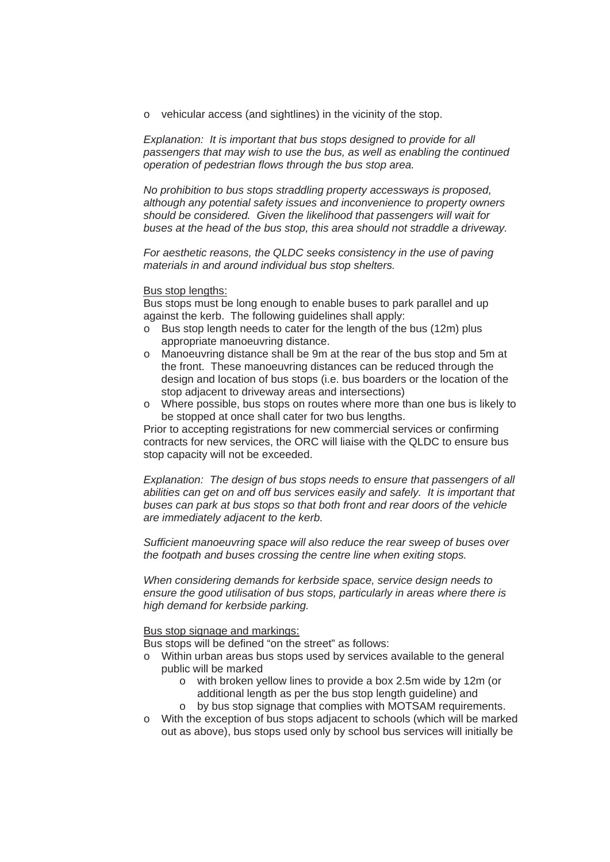o vehicular access (and sightlines) in the vicinity of the stop.

*Explanation: It is important that bus stops designed to provide for all passengers that may wish to use the bus, as well as enabling the continued operation of pedestrian flows through the bus stop area.* 

*No prohibition to bus stops straddling property accessways is proposed, although any potential safety issues and inconvenience to property owners should be considered. Given the likelihood that passengers will wait for buses at the head of the bus stop, this area should not straddle a driveway.* 

*For aesthetic reasons, the QLDC seeks consistency in the use of paving materials in and around individual bus stop shelters.* 

#### Bus stop lengths:

Bus stops must be long enough to enable buses to park parallel and up against the kerb. The following guidelines shall apply:

- o Bus stop length needs to cater for the length of the bus (12m) plus appropriate manoeuvring distance.
- o Manoeuvring distance shall be 9m at the rear of the bus stop and 5m at the front. These manoeuvring distances can be reduced through the design and location of bus stops (i.e. bus boarders or the location of the stop adjacent to driveway areas and intersections)
- o Where possible, bus stops on routes where more than one bus is likely to be stopped at once shall cater for two bus lengths.

Prior to accepting registrations for new commercial services or confirming contracts for new services, the ORC will liaise with the QLDC to ensure bus stop capacity will not be exceeded.

*Explanation: The design of bus stops needs to ensure that passengers of all abilities can get on and off bus services easily and safely. It is important that buses can park at bus stops so that both front and rear doors of the vehicle are immediately adjacent to the kerb.* 

*Sufficient manoeuvring space will also reduce the rear sweep of buses over the footpath and buses crossing the centre line when exiting stops.* 

*When considering demands for kerbside space, service design needs to ensure the good utilisation of bus stops, particularly in areas where there is high demand for kerbside parking.* 

#### Bus stop signage and markings:

Bus stops will be defined "on the street" as follows:

- o Within urban areas bus stops used by services available to the general public will be marked
	- o with broken yellow lines to provide a box 2.5m wide by 12m (or additional length as per the bus stop length guideline) and
	- o by bus stop signage that complies with MOTSAM requirements.
- o With the exception of bus stops adjacent to schools (which will be marked out as above), bus stops used only by school bus services will initially be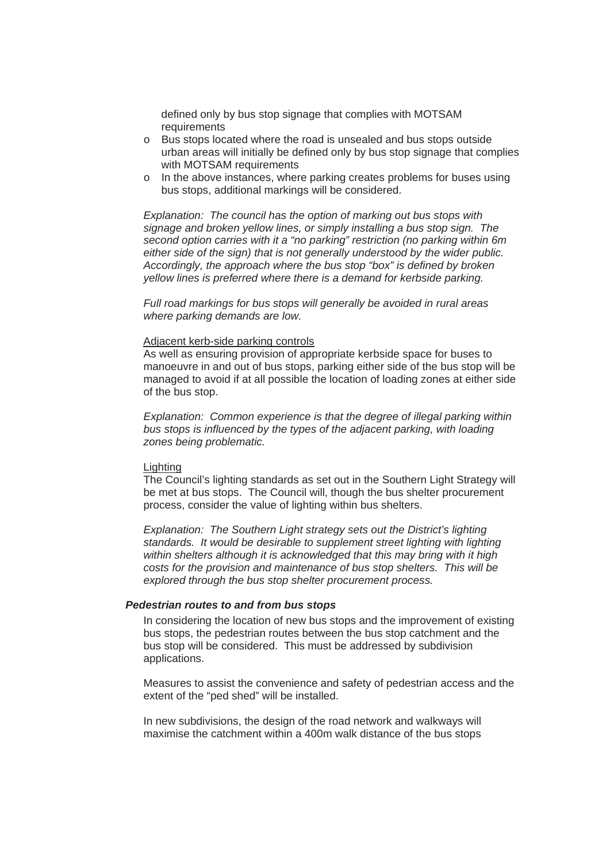defined only by bus stop signage that complies with MOTSAM requirements

- o Bus stops located where the road is unsealed and bus stops outside urban areas will initially be defined only by bus stop signage that complies with MOTSAM requirements
- o In the above instances, where parking creates problems for buses using bus stops, additional markings will be considered.

*Explanation: The council has the option of marking out bus stops with signage and broken yellow lines, or simply installing a bus stop sign. The second option carries with it a "no parking" restriction (no parking within 6m either side of the sign) that is not generally understood by the wider public. Accordingly, the approach where the bus stop "box" is defined by broken yellow lines is preferred where there is a demand for kerbside parking.* 

*Full road markings for bus stops will generally be avoided in rural areas where parking demands are low.* 

#### Adjacent kerb-side parking controls

As well as ensuring provision of appropriate kerbside space for buses to manoeuvre in and out of bus stops, parking either side of the bus stop will be managed to avoid if at all possible the location of loading zones at either side of the bus stop.

*Explanation: Common experience is that the degree of illegal parking within bus stops is influenced by the types of the adjacent parking, with loading zones being problematic.* 

#### Lighting

The Council's lighting standards as set out in the Southern Light Strategy will be met at bus stops. The Council will, though the bus shelter procurement process, consider the value of lighting within bus shelters.

*Explanation: The Southern Light strategy sets out the District's lighting standards. It would be desirable to supplement street lighting with lighting within shelters although it is acknowledged that this may bring with it high costs for the provision and maintenance of bus stop shelters. This will be explored through the bus stop shelter procurement process.* 

#### *Pedestrian routes to and from bus stops*

In considering the location of new bus stops and the improvement of existing bus stops, the pedestrian routes between the bus stop catchment and the bus stop will be considered. This must be addressed by subdivision applications.

Measures to assist the convenience and safety of pedestrian access and the extent of the "ped shed" will be installed.

In new subdivisions, the design of the road network and walkways will maximise the catchment within a 400m walk distance of the bus stops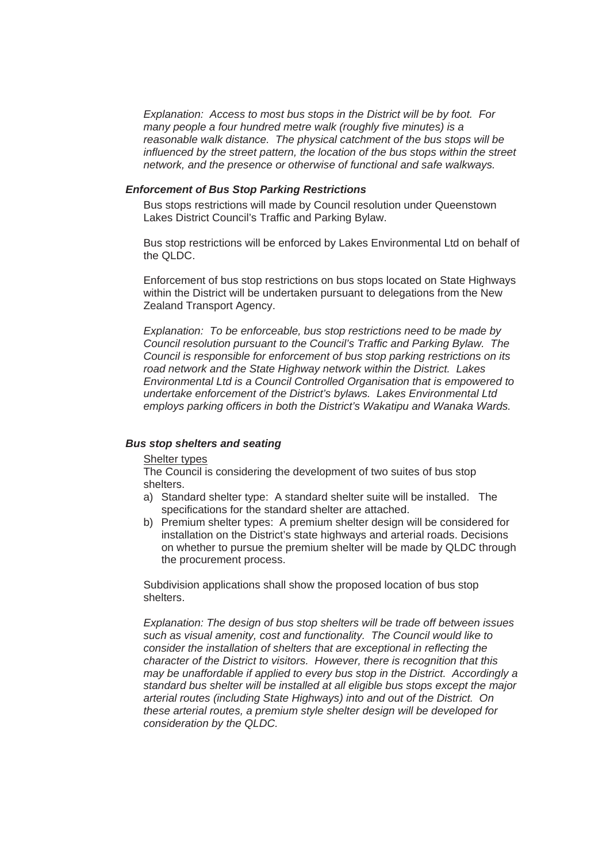*Explanation: Access to most bus stops in the District will be by foot. For many people a four hundred metre walk (roughly five minutes) is a reasonable walk distance. The physical catchment of the bus stops will be influenced by the street pattern, the location of the bus stops within the street network, and the presence or otherwise of functional and safe walkways.* 

## *Enforcement of Bus Stop Parking Restrictions*

Bus stops restrictions will made by Council resolution under Queenstown Lakes District Council's Traffic and Parking Bylaw.

Bus stop restrictions will be enforced by Lakes Environmental Ltd on behalf of the QLDC.

Enforcement of bus stop restrictions on bus stops located on State Highways within the District will be undertaken pursuant to delegations from the New Zealand Transport Agency.

*Explanation: To be enforceable, bus stop restrictions need to be made by Council resolution pursuant to the Council's Traffic and Parking Bylaw. The Council is responsible for enforcement of bus stop parking restrictions on its road network and the State Highway network within the District. Lakes Environmental Ltd is a Council Controlled Organisation that is empowered to undertake enforcement of the District's bylaws. Lakes Environmental Ltd employs parking officers in both the District's Wakatipu and Wanaka Wards.* 

## *Bus stop shelters and seating*

#### Shelter types

The Council is considering the development of two suites of bus stop shelters.

- a) Standard shelter type: A standard shelter suite will be installed. The specifications for the standard shelter are attached.
- b) Premium shelter types: A premium shelter design will be considered for installation on the District's state highways and arterial roads. Decisions on whether to pursue the premium shelter will be made by QLDC through the procurement process.

Subdivision applications shall show the proposed location of bus stop shelters.

*Explanation: The design of bus stop shelters will be trade off between issues such as visual amenity, cost and functionality. The Council would like to consider the installation of shelters that are exceptional in reflecting the character of the District to visitors. However, there is recognition that this may be unaffordable if applied to every bus stop in the District. Accordingly a standard bus shelter will be installed at all eligible bus stops except the major arterial routes (including State Highways) into and out of the District. On these arterial routes, a premium style shelter design will be developed for consideration by the QLDC.*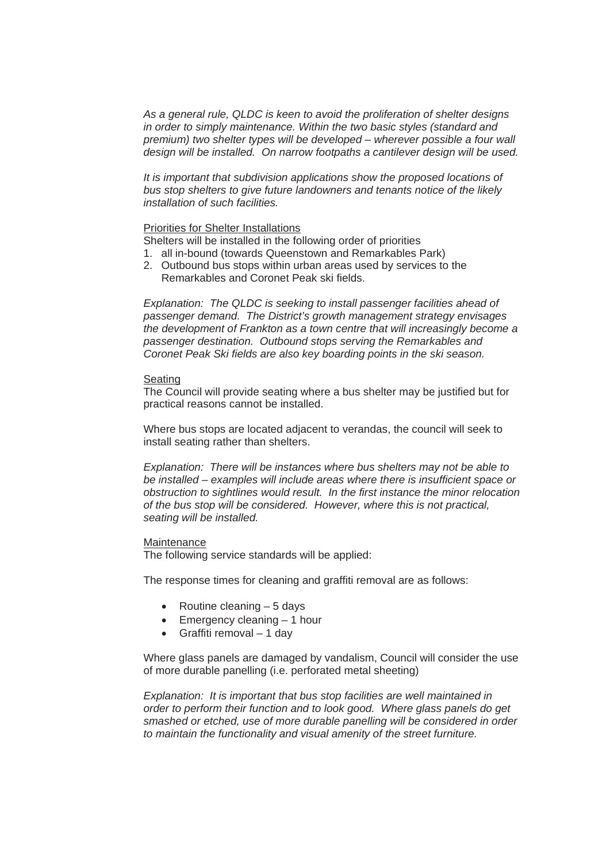*As a general rule, QLDC is keen to avoid the proliferation of shelter designs in order to simply maintenance. Within the two basic styles (standard and premium) two shelter types will be developed – wherever possible a four wall design will be installed. On narrow footpaths a cantilever design will be used.* 

*It is important that subdivision applications show the proposed locations of bus stop shelters to give future landowners and tenants notice of the likely installation of such facilities.* 

#### Priorities for Shelter Installations

Shelters will be installed in the following order of priorities

- 1. all in-bound (towards Queenstown and Remarkables Park)
- 2. Outbound bus stops within urban areas used by services to the Remarkables and Coronet Peak ski fields.

*Explanation: The QLDC is seeking to install passenger facilities ahead of passenger demand. The District's growth management strategy envisages the development of Frankton as a town centre that will increasingly become a passenger destination. Outbound stops serving the Remarkables and Coronet Peak Ski fields are also key boarding points in the ski season.* 

#### Seating

The Council will provide seating where a bus shelter may be justified but for practical reasons cannot be installed.

Where bus stops are located adjacent to verandas, the council will seek to install seating rather than shelters.

*Explanation: There will be instances where bus shelters may not be able to be installed – examples will include areas where there is insufficient space or obstruction to sightlines would result. In the first instance the minor relocation of the bus stop will be considered. However, where this is not practical, seating will be installed.* 

#### **Maintenance**

The following service standards will be applied:

The response times for cleaning and graffiti removal are as follows:

- $\bullet$  Routine cleaning  $-5$  days
- $\bullet$  Emergency cleaning  $-1$  hour
- $\bullet$  Graffiti removal 1 day

Where glass panels are damaged by vandalism, Council will consider the use of more durable panelling (i.e. perforated metal sheeting)

*Explanation: It is important that bus stop facilities are well maintained in order to perform their function and to look good. Where glass panels do get smashed or etched, use of more durable panelling will be considered in order to maintain the functionality and visual amenity of the street furniture.*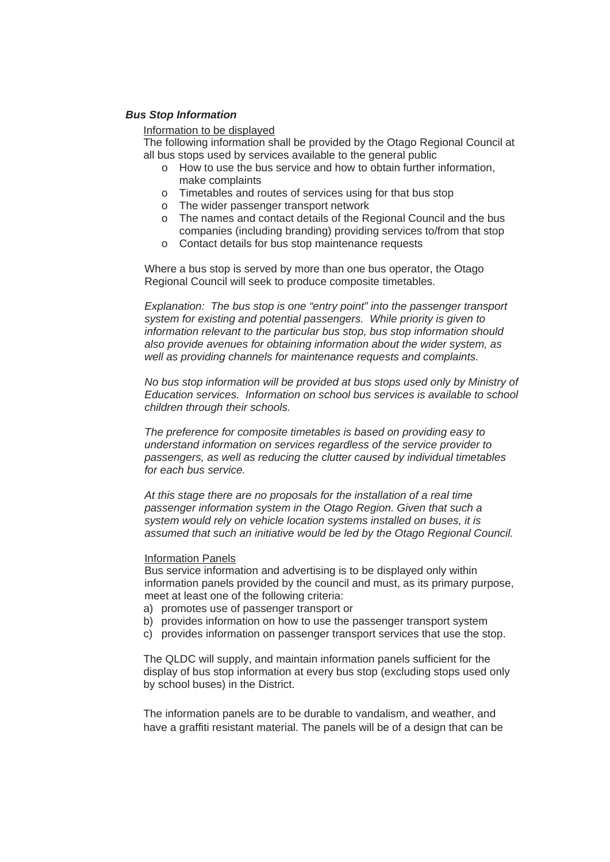#### *Bus Stop Information*

Information to be displayed

The following information shall be provided by the Otago Regional Council at all bus stops used by services available to the general public

- o How to use the bus service and how to obtain further information, make complaints
- o Timetables and routes of services using for that bus stop
- o The wider passenger transport network
- o The names and contact details of the Regional Council and the bus companies (including branding) providing services to/from that stop
- o Contact details for bus stop maintenance requests

Where a bus stop is served by more than one bus operator, the Otago Regional Council will seek to produce composite timetables.

*Explanation: The bus stop is one "entry point" into the passenger transport system for existing and potential passengers. While priority is given to information relevant to the particular bus stop, bus stop information should also provide avenues for obtaining information about the wider system, as well as providing channels for maintenance requests and complaints.* 

*No bus stop information will be provided at bus stops used only by Ministry of Education services. Information on school bus services is available to school children through their schools.* 

*The preference for composite timetables is based on providing easy to understand information on services regardless of the service provider to passengers, as well as reducing the clutter caused by individual timetables for each bus service.* 

*At this stage there are no proposals for the installation of a real time passenger information system in the Otago Region. Given that such a system would rely on vehicle location systems installed on buses, it is assumed that such an initiative would be led by the Otago Regional Council.* 

#### Information Panels

Bus service information and advertising is to be displayed only within information panels provided by the council and must, as its primary purpose, meet at least one of the following criteria:

- a) promotes use of passenger transport or
- b) provides information on how to use the passenger transport system
- c) provides information on passenger transport services that use the stop.

The QLDC will supply, and maintain information panels sufficient for the display of bus stop information at every bus stop (excluding stops used only by school buses) in the District.

The information panels are to be durable to vandalism, and weather, and have a graffiti resistant material. The panels will be of a design that can be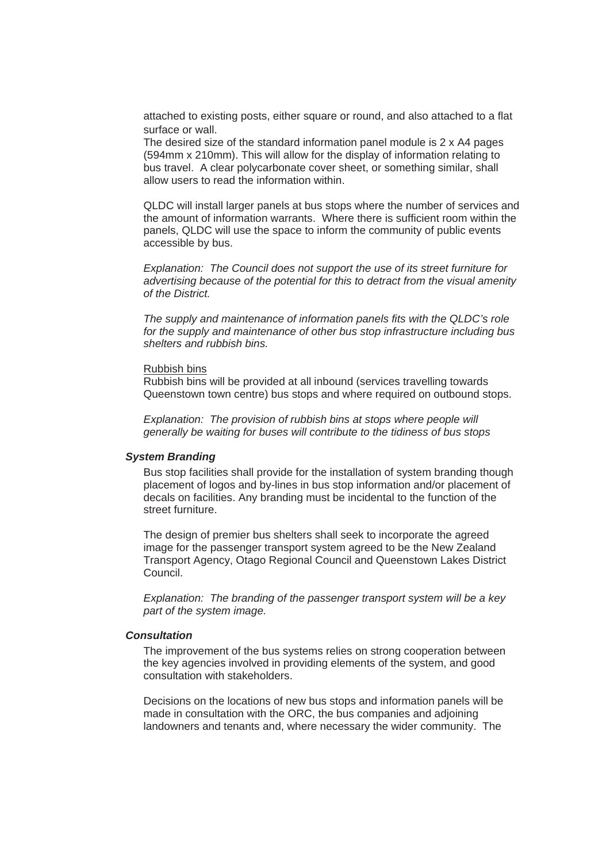attached to existing posts, either square or round, and also attached to a flat surface or wall.

The desired size of the standard information panel module is 2 x A4 pages (594mm x 210mm). This will allow for the display of information relating to bus travel. A clear polycarbonate cover sheet, or something similar, shall allow users to read the information within.

QLDC will install larger panels at bus stops where the number of services and the amount of information warrants. Where there is sufficient room within the panels, QLDC will use the space to inform the community of public events accessible by bus.

*Explanation: The Council does not support the use of its street furniture for advertising because of the potential for this to detract from the visual amenity of the District.* 

*The supply and maintenance of information panels fits with the QLDC's role for the supply and maintenance of other bus stop infrastructure including bus shelters and rubbish bins.* 

#### Rubbish bins

Rubbish bins will be provided at all inbound (services travelling towards Queenstown town centre) bus stops and where required on outbound stops.

*Explanation: The provision of rubbish bins at stops where people will generally be waiting for buses will contribute to the tidiness of bus stops* 

#### *System Branding*

Bus stop facilities shall provide for the installation of system branding though placement of logos and by-lines in bus stop information and/or placement of decals on facilities. Any branding must be incidental to the function of the street furniture.

The design of premier bus shelters shall seek to incorporate the agreed image for the passenger transport system agreed to be the New Zealand Transport Agency, Otago Regional Council and Queenstown Lakes District Council.

*Explanation: The branding of the passenger transport system will be a key part of the system image.* 

#### *Consultation*

The improvement of the bus systems relies on strong cooperation between the key agencies involved in providing elements of the system, and good consultation with stakeholders.

Decisions on the locations of new bus stops and information panels will be made in consultation with the ORC, the bus companies and adjoining landowners and tenants and, where necessary the wider community. The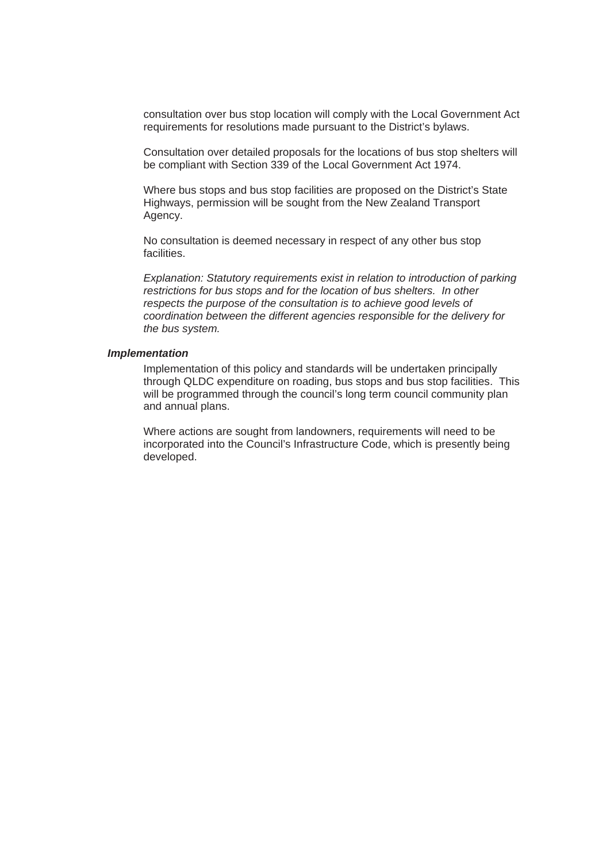consultation over bus stop location will comply with the Local Government Act requirements for resolutions made pursuant to the District's bylaws.

Consultation over detailed proposals for the locations of bus stop shelters will be compliant with Section 339 of the Local Government Act 1974.

Where bus stops and bus stop facilities are proposed on the District's State Highways, permission will be sought from the New Zealand Transport Agency.

No consultation is deemed necessary in respect of any other bus stop facilities.

*Explanation: Statutory requirements exist in relation to introduction of parking restrictions for bus stops and for the location of bus shelters. In other respects the purpose of the consultation is to achieve good levels of coordination between the different agencies responsible for the delivery for the bus system.* 

## *Implementation*

Implementation of this policy and standards will be undertaken principally through QLDC expenditure on roading, bus stops and bus stop facilities. This will be programmed through the council's long term council community plan and annual plans.

Where actions are sought from landowners, requirements will need to be incorporated into the Council's Infrastructure Code, which is presently being developed.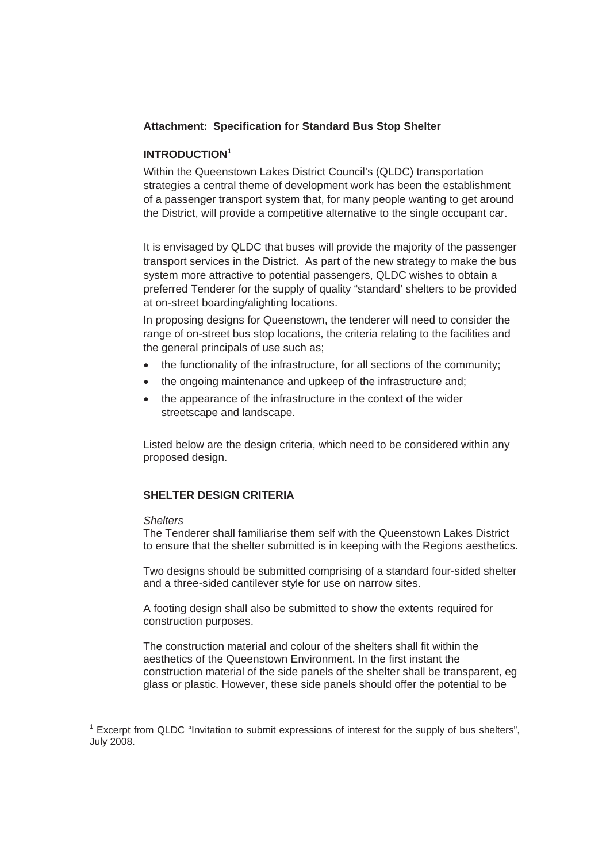# **Attachment: Specification for Standard Bus Stop Shelter**

# **INTRODUCTION<sup>1</sup>**

Within the Queenstown Lakes District Council's (QLDC) transportation strategies a central theme of development work has been the establishment of a passenger transport system that, for many people wanting to get around the District, will provide a competitive alternative to the single occupant car.

It is envisaged by QLDC that buses will provide the majority of the passenger transport services in the District. As part of the new strategy to make the bus system more attractive to potential passengers, QLDC wishes to obtain a preferred Tenderer for the supply of quality "standard' shelters to be provided at on-street boarding/alighting locations.

In proposing designs for Queenstown, the tenderer will need to consider the range of on-street bus stop locations, the criteria relating to the facilities and the general principals of use such as;

- the functionality of the infrastructure, for all sections of the community;
- the ongoing maintenance and upkeep of the infrastructure and;
- the appearance of the infrastructure in the context of the wider streetscape and landscape.

Listed below are the design criteria, which need to be considered within any proposed design.

# **SHELTER DESIGN CRITERIA**

## *Shelters*

l

The Tenderer shall familiarise them self with the Queenstown Lakes District to ensure that the shelter submitted is in keeping with the Regions aesthetics.

Two designs should be submitted comprising of a standard four-sided shelter and a three-sided cantilever style for use on narrow sites.

A footing design shall also be submitted to show the extents required for construction purposes.

The construction material and colour of the shelters shall fit within the aesthetics of the Queenstown Environment. In the first instant the construction material of the side panels of the shelter shall be transparent, eg glass or plastic. However, these side panels should offer the potential to be

 $1$  Excerpt from QLDC "Invitation to submit expressions of interest for the supply of bus shelters", July 2008.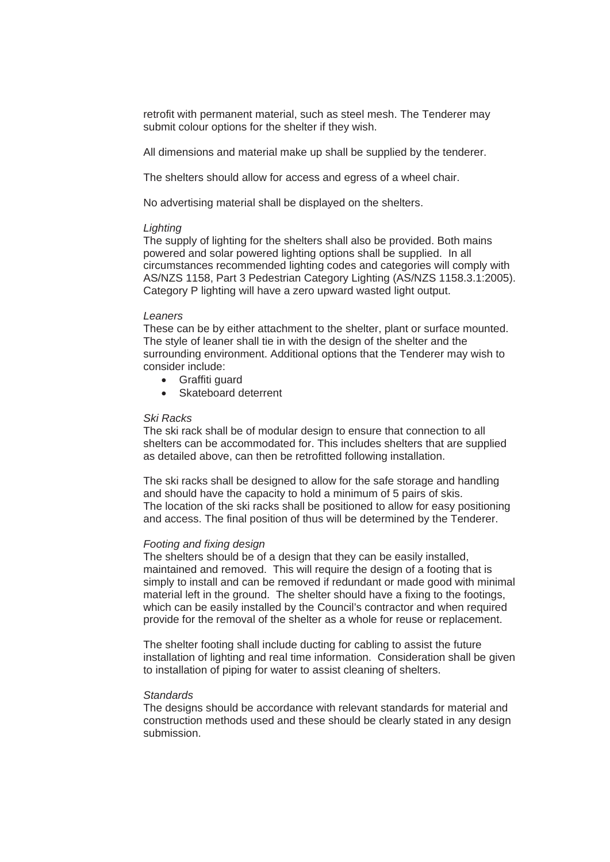retrofit with permanent material, such as steel mesh. The Tenderer may submit colour options for the shelter if they wish.

All dimensions and material make up shall be supplied by the tenderer.

The shelters should allow for access and egress of a wheel chair.

No advertising material shall be displayed on the shelters.

## *Lighting*

The supply of lighting for the shelters shall also be provided. Both mains powered and solar powered lighting options shall be supplied. In all circumstances recommended lighting codes and categories will comply with AS/NZS 1158, Part 3 Pedestrian Category Lighting (AS/NZS 1158.3.1:2005). Category P lighting will have a zero upward wasted light output.

## *Leaners*

These can be by either attachment to the shelter, plant or surface mounted. The style of leaner shall tie in with the design of the shelter and the surrounding environment. Additional options that the Tenderer may wish to consider include:

- Graffiti guard
- Skateboard deterrent

## *Ski Racks*

The ski rack shall be of modular design to ensure that connection to all shelters can be accommodated for. This includes shelters that are supplied as detailed above, can then be retrofitted following installation.

The ski racks shall be designed to allow for the safe storage and handling and should have the capacity to hold a minimum of 5 pairs of skis. The location of the ski racks shall be positioned to allow for easy positioning and access. The final position of thus will be determined by the Tenderer.

#### *Footing and fixing design*

The shelters should be of a design that they can be easily installed, maintained and removed. This will require the design of a footing that is simply to install and can be removed if redundant or made good with minimal material left in the ground. The shelter should have a fixing to the footings, which can be easily installed by the Council's contractor and when required provide for the removal of the shelter as a whole for reuse or replacement.

The shelter footing shall include ducting for cabling to assist the future installation of lighting and real time information. Consideration shall be given to installation of piping for water to assist cleaning of shelters.

#### *Standards*

The designs should be accordance with relevant standards for material and construction methods used and these should be clearly stated in any design submission.